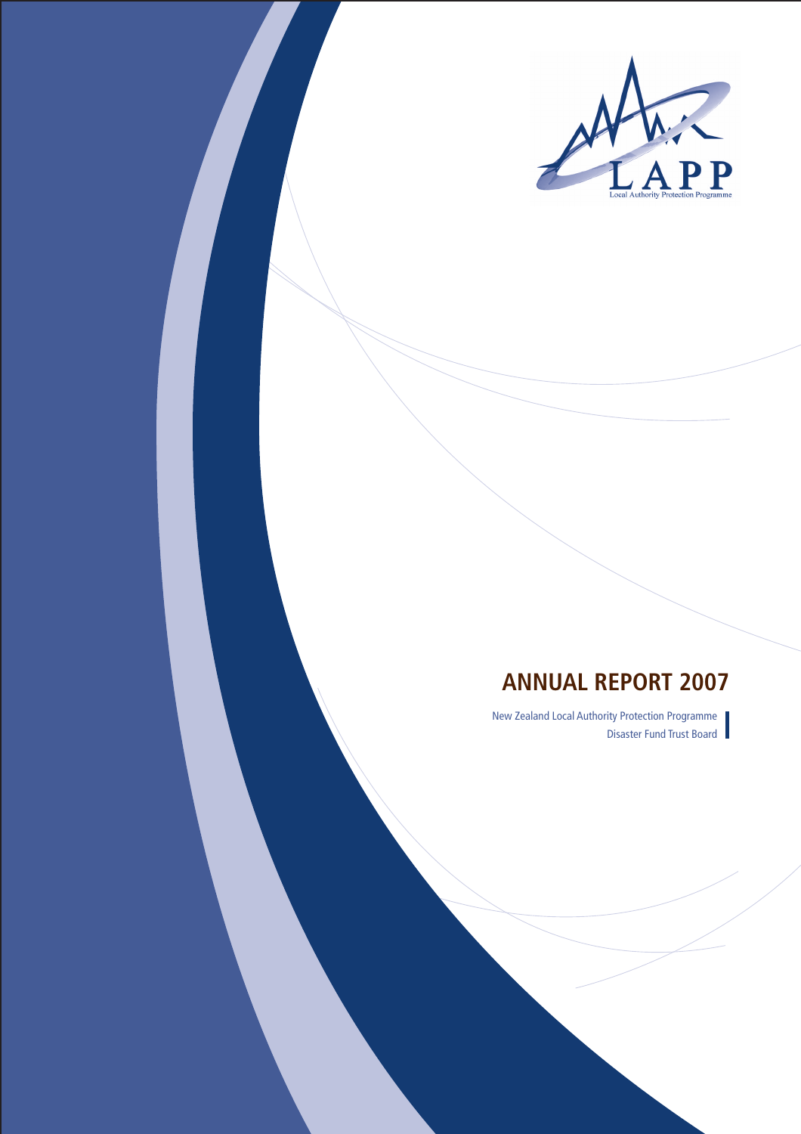

# **ANNUAL REPORT 2007**

New Zealand Local Authority Protection Programme Disaster Fund Trust Board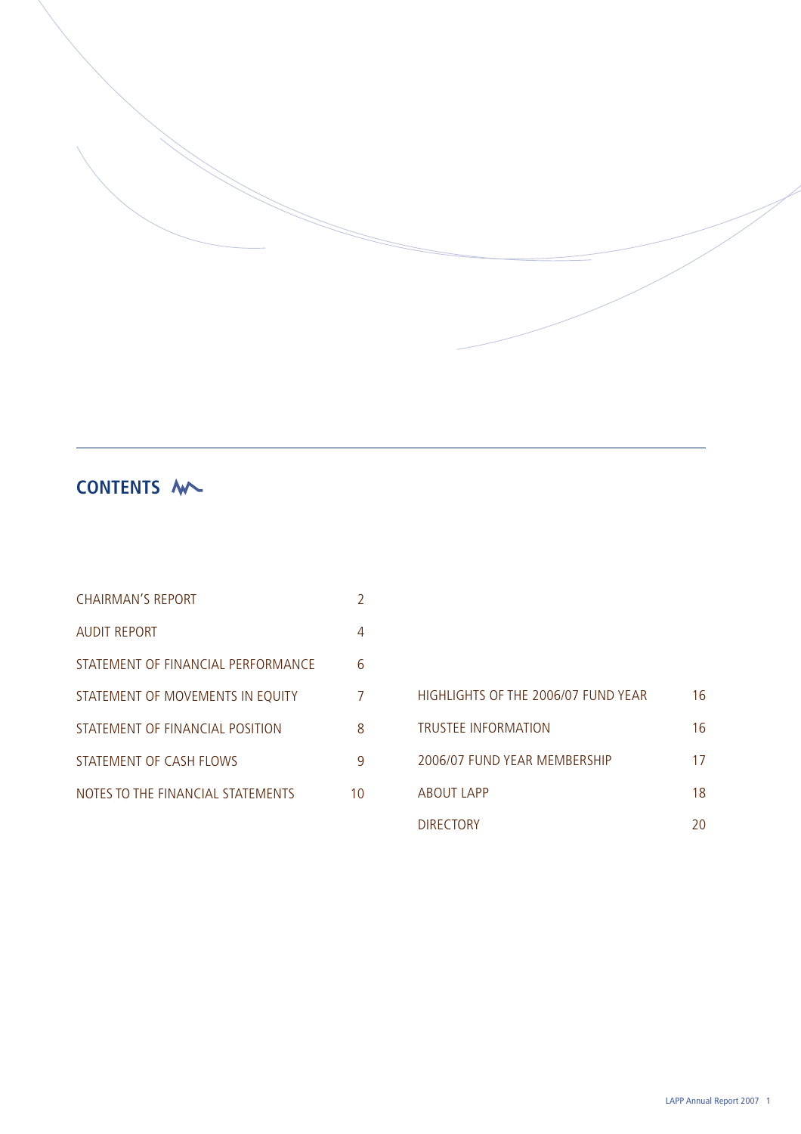

# **CONTENTS**

| <b>CHAIRMAN'S REPORT</b>           | 2  |
|------------------------------------|----|
| AUDIT REPORT                       | 4  |
| STATEMENT OF FINANCIAL PERFORMANCE | 6  |
| STATEMENT OF MOVEMENTS IN EQUITY   | 7  |
| STATEMENT OF FINANCIAL POSITION    | 8  |
| STATEMENT OF CASH FLOWS            | 9  |
| NOTES TO THE FINANCIAL STATEMENTS  | 10 |

# HIGHLIGHTS OF THE 2006/07 FUND YEAR 16 TRUSTEE INFORMATION 16 2006/07 FUND YEAR MEMBERSHIP 17 ABOUT LAPP 18 DIRECTORY 20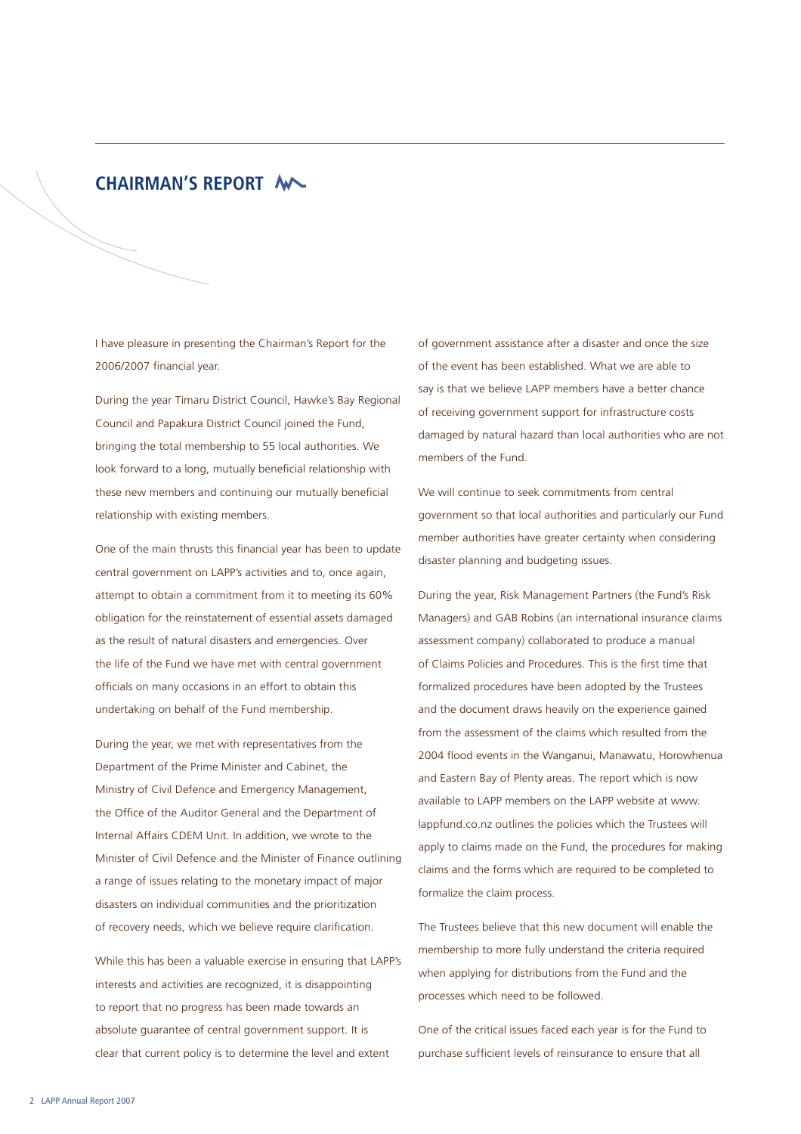# **CHAIRMAN'S REPORT**

I have pleasure in presenting the Chairman's Report for the 2006/2007 financial year.

During the year Timaru District Council, Hawke's Bay Regional Council and Papakura District Council joined the Fund, bringing the total membership to 55 local authorities. We look forward to a long, mutually beneficial relationship with these new members and continuing our mutually beneficial relationship with existing members.

One of the main thrusts this financial year has been to update central government on LAPP's activities and to, once again, attempt to obtain a commitment from it to meeting its 60% obligation for the reinstatement of essential assets damaged as the result of natural disasters and emergencies. Over the life of the Fund we have met with central government officials on many occasions in an effort to obtain this undertaking on behalf of the Fund membership.

During the year, we met with representatives from the Department of the Prime Minister and Cabinet, the Ministry of Civil Defence and Emergency Management, the Office of the Auditor General and the Department of Internal Affairs CDEM Unit. In addition, we wrote to the Minister of Civil Defence and the Minister of Finance outlining a range of issues relating to the monetary impact of major disasters on individual communities and the prioritization of recovery needs, which we believe require clarification.

While this has been a valuable exercise in ensuring that LAPP's interests and activities are recognized, it is disappointing to report that no progress has been made towards an absolute guarantee of central government support. It is clear that current policy is to determine the level and extent

of government assistance after a disaster and once the size of the event has been established. What we are able to say is that we believe LAPP members have a better chance of receiving government support for infrastructure costs damaged by natural hazard than local authorities who are not members of the Fund.

We will continue to seek commitments from central government so that local authorities and particularly our Fund member authorities have greater certainty when considering disaster planning and budgeting issues.

During the year, Risk Management Partners (the Fund's Risk Managers) and GAB Robins (an international insurance claims assessment company) collaborated to produce a manual of Claims Policies and Procedures. This is the first time that formalized procedures have been adopted by the Trustees and the document draws heavily on the experience gained from the assessment of the claims which resulted from the 2004 flood events in the Wanganui, Manawatu, Horowhenua and Eastern Bay of Plenty areas. The report which is now available to LAPP members on the LAPP website at www. lappfund.co.nz outlines the policies which the Trustees will apply to claims made on the Fund, the procedures for making claims and the forms which are required to be completed to formalize the claim process.

The Trustees believe that this new document will enable the membership to more fully understand the criteria required when applying for distributions from the Fund and the processes which need to be followed.

One of the critical issues faced each year is for the Fund to purchase sufficient levels of reinsurance to ensure that all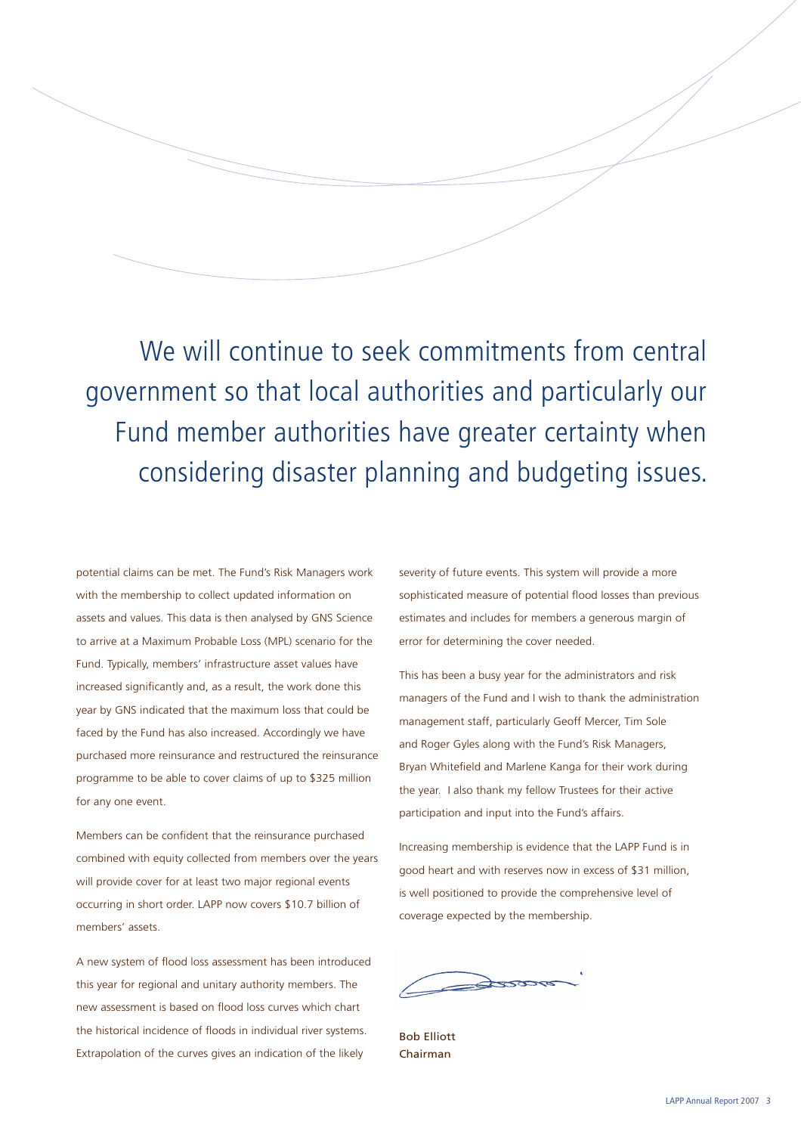We will continue to seek commitments from central government so that local authorities and particularly our Fund member authorities have greater certainty when considering disaster planning and budgeting issues.

potential claims can be met. The Fund's Risk Managers work with the membership to collect updated information on assets and values. This data is then analysed by GNS Science to arrive at a Maximum Probable Loss (MPL) scenario for the Fund. Typically, members' infrastructure asset values have increased significantly and, as a result, the work done this year by GNS indicated that the maximum loss that could be faced by the Fund has also increased. Accordingly we have purchased more reinsurance and restructured the reinsurance programme to be able to cover claims of up to \$325 million for any one event.

Members can be confident that the reinsurance purchased combined with equity collected from members over the years will provide cover for at least two major regional events occurring in short order. LAPP now covers \$10.7 billion of members' assets.

A new system of flood loss assessment has been introduced this year for regional and unitary authority members. The new assessment is based on flood loss curves which chart the historical incidence of floods in individual river systems. Extrapolation of the curves gives an indication of the likely

severity of future events. This system will provide a more sophisticated measure of potential flood losses than previous estimates and includes for members a generous margin of error for determining the cover needed.

This has been a busy year for the administrators and risk managers of the Fund and I wish to thank the administration management staff, particularly Geoff Mercer, Tim Sole and Roger Gyles along with the Fund's Risk Managers, Bryan Whitefield and Marlene Kanga for their work during the year. I also thank my fellow Trustees for their active participation and input into the Fund's affairs.

Increasing membership is evidence that the LAPP Fund is in good heart and with reserves now in excess of \$31 million, is well positioned to provide the comprehensive level of coverage expected by the membership.

Bob Elliott Chairman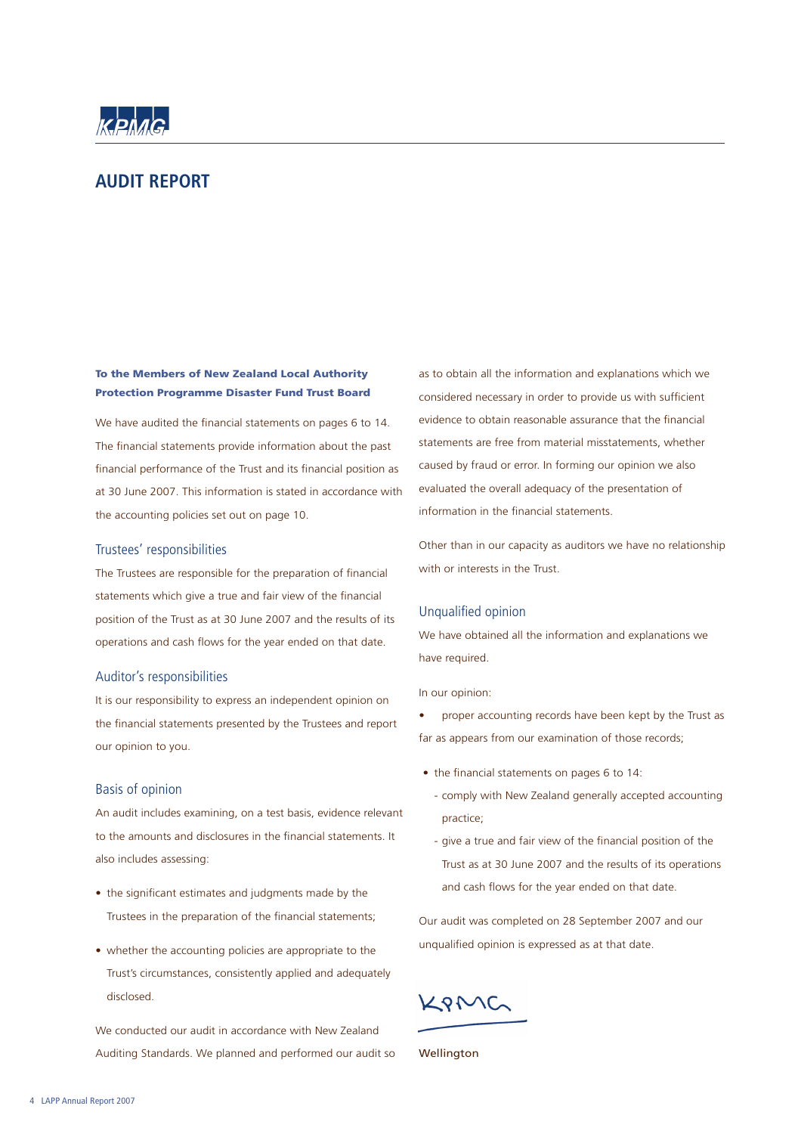

# **AUDIT REPORT**

# **To the Members of New Zealand Local Authority Protection Programme Disaster Fund Trust Board**

We have audited the financial statements on pages 6 to 14. The financial statements provide information about the past financial performance of the Trust and its financial position as at 30 June 2007. This information is stated in accordance with the accounting policies set out on page 10.

#### Trustees' responsibilities

The Trustees are responsible for the preparation of financial statements which give a true and fair view of the financial position of the Trust as at 30 June 2007 and the results of its operations and cash flows for the year ended on that date.

#### Auditor's responsibilities

It is our responsibility to express an independent opinion on the financial statements presented by the Trustees and report our opinion to you.

### Basis of opinion

An audit includes examining, on a test basis, evidence relevant to the amounts and disclosures in the financial statements. It also includes assessing:

- the significant estimates and judgments made by the Trustees in the preparation of the financial statements;
- whether the accounting policies are appropriate to the Trust's circumstances, consistently applied and adequately disclosed.

We conducted our audit in accordance with New Zealand Auditing Standards. We planned and performed our audit so as to obtain all the information and explanations which we considered necessary in order to provide us with sufficient evidence to obtain reasonable assurance that the financial statements are free from material misstatements, whether caused by fraud or error. In forming our opinion we also evaluated the overall adequacy of the presentation of information in the financial statements.

Other than in our capacity as auditors we have no relationship with or interests in the Trust.

# Unqualified opinion

We have obtained all the information and explanations we have required.

#### In our opinion:

- proper accounting records have been kept by the Trust as far as appears from our examination of those records;
- $\bullet$  the financial statements on pages 6 to 14:
	- comply with New Zealand generally accepted accounting practice;
	- give a true and fair view of the financial position of the Trust as at 30 June 2007 and the results of its operations and cash flows for the year ended on that date.

Our audit was completed on 28 September 2007 and our unqualified opinion is expressed as at that date.

KPMG

**Wellington**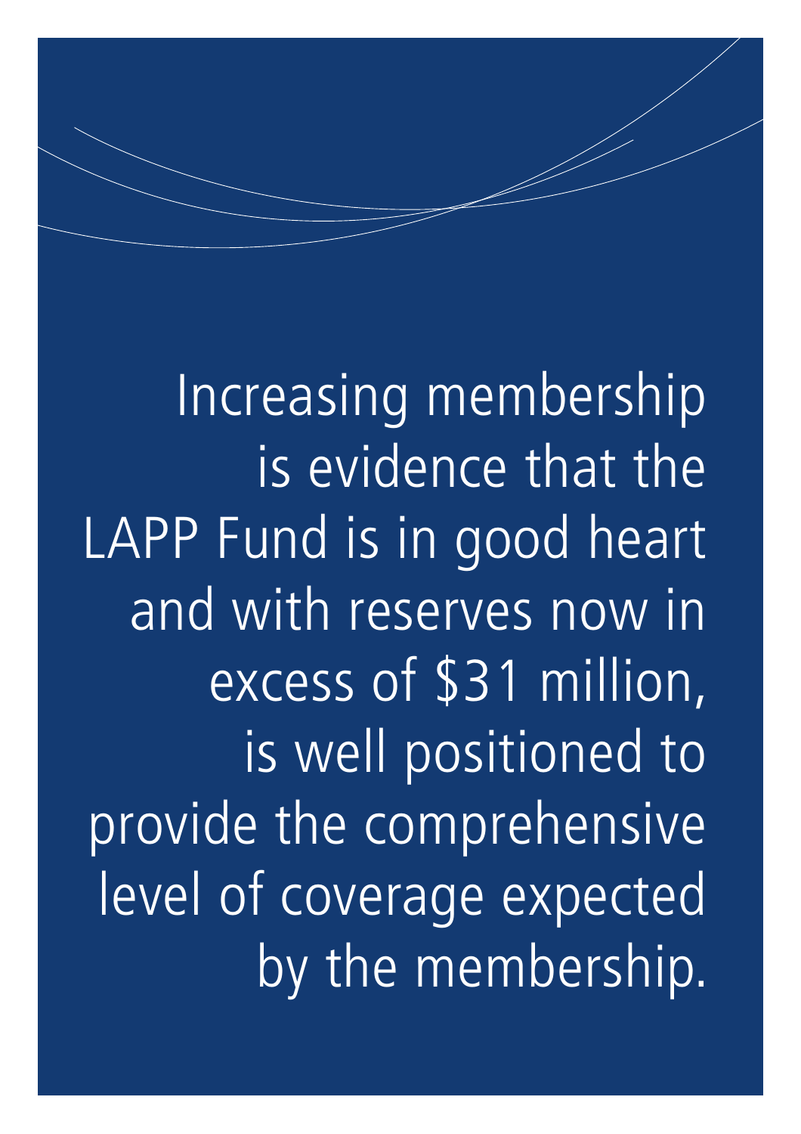Increasing membership is evidence that the LAPP Fund is in good heart and with reserves now in excess of \$31 million, is well positioned to provide the comprehensive level of coverage expected by the membership.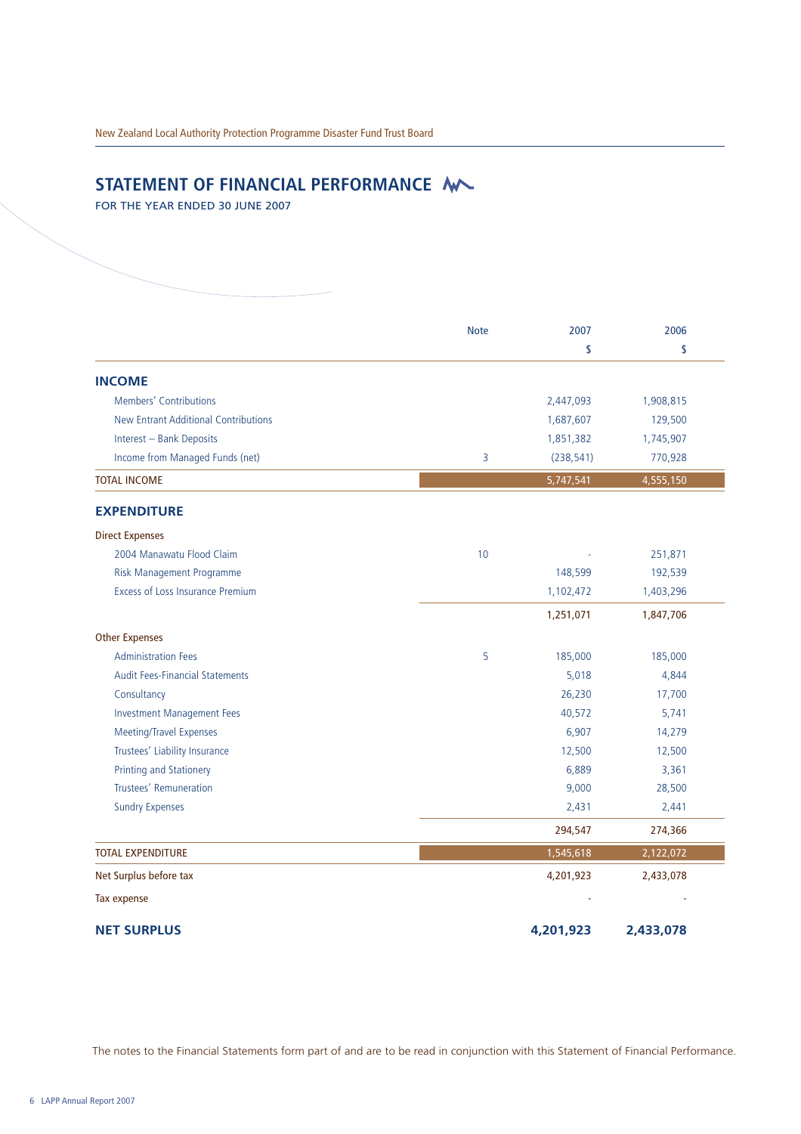# STATEMENT OF FINANCIAL PERFORMANCE **W**

FOR THE YEAR ENDED 30 JUNE 2007

|                                             | <b>Note</b> | 2007       | 2006      |
|---------------------------------------------|-------------|------------|-----------|
|                                             |             | \$         | \$        |
| <b>INCOME</b>                               |             |            |           |
| Members' Contributions                      |             | 2,447,093  | 1,908,815 |
| <b>New Entrant Additional Contributions</b> |             | 1,687,607  | 129,500   |
| Interest - Bank Deposits                    |             | 1,851,382  | 1,745,907 |
| Income from Managed Funds (net)             | 3           | (238, 541) | 770,928   |
| <b>TOTAL INCOME</b>                         |             | 5,747,541  | 4,555,150 |
| <b>EXPENDITURE</b>                          |             |            |           |
| <b>Direct Expenses</b>                      |             |            |           |
| 2004 Manawatu Flood Claim                   | 10          |            | 251,871   |
| Risk Management Programme                   |             | 148,599    | 192,539   |
| <b>Excess of Loss Insurance Premium</b>     |             | 1,102,472  | 1,403,296 |
|                                             |             | 1,251,071  | 1,847,706 |
| <b>Other Expenses</b>                       |             |            |           |
| <b>Administration Fees</b>                  | 5           | 185,000    | 185,000   |
| <b>Audit Fees-Financial Statements</b>      |             | 5,018      | 4,844     |
| Consultancy                                 |             | 26,230     | 17,700    |
| <b>Investment Management Fees</b>           |             | 40,572     | 5,741     |
| Meeting/Travel Expenses                     |             | 6,907      | 14,279    |
| Trustees' Liability Insurance               |             | 12,500     | 12,500    |
| <b>Printing and Stationery</b>              |             | 6,889      | 3,361     |
| Trustees' Remuneration                      |             | 9,000      | 28,500    |
| <b>Sundry Expenses</b>                      |             | 2,431      | 2,441     |
|                                             |             | 294,547    | 274,366   |
| <b>TOTAL EXPENDITURE</b>                    |             | 1,545,618  | 2,122,072 |
| Net Surplus before tax                      |             | 4,201,923  | 2,433,078 |
| Tax expense                                 |             |            |           |
| <b>NET SURPLUS</b>                          |             | 4,201,923  | 2,433,078 |

The notes to the Financial Statements form part of and are to be read in conjunction with this Statement of Financial Performance.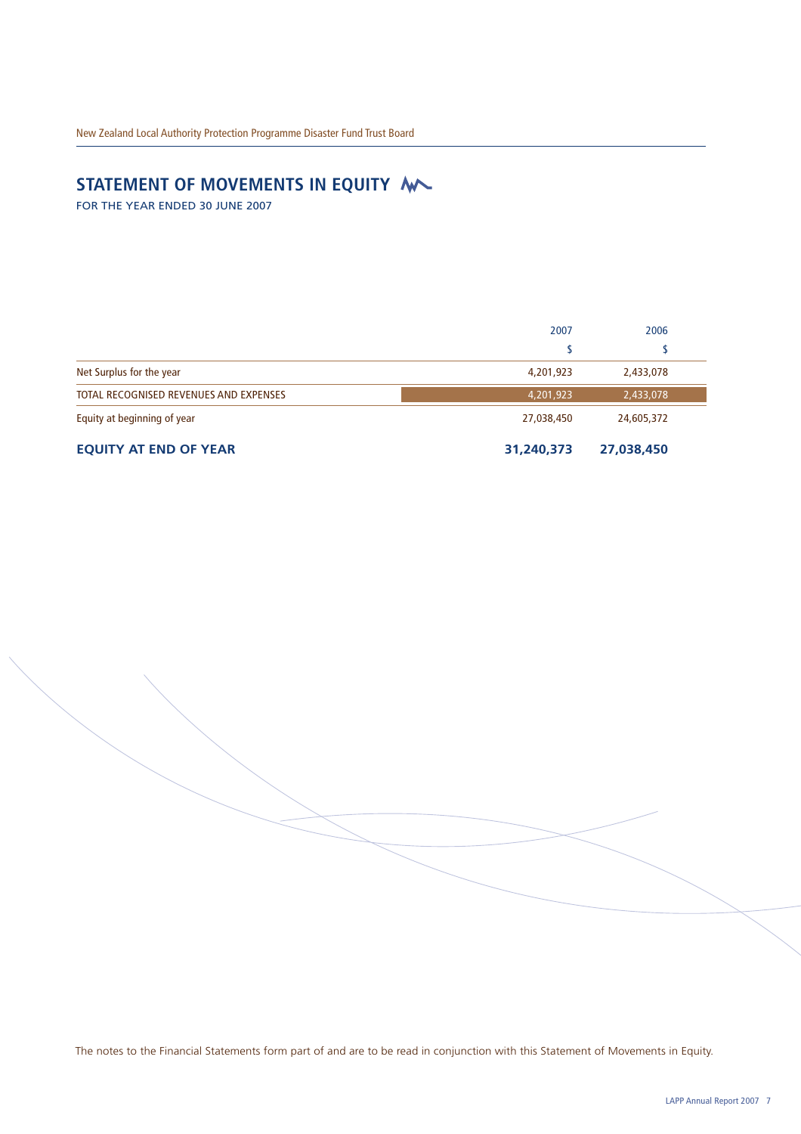# **STATEMENT OF MOVEMENTS IN EQUITY**

FOR THE YEAR ENDED 30 JUNE 2007

|                                        | 2007       |            |
|----------------------------------------|------------|------------|
|                                        |            |            |
| Net Surplus for the year               | 4,201,923  | 2,433,078  |
| TOTAL RECOGNISED REVENUES AND EXPENSES | 4,201,923  | 2,433,078  |
| Equity at beginning of year            | 27,038,450 | 24,605,372 |
| <b>EQUITY AT END OF YEAR</b>           | 31,240,373 | 27,038,450 |

The notes to the Financial Statements form part of and are to be read in conjunction with this Statement of Movements in Equity.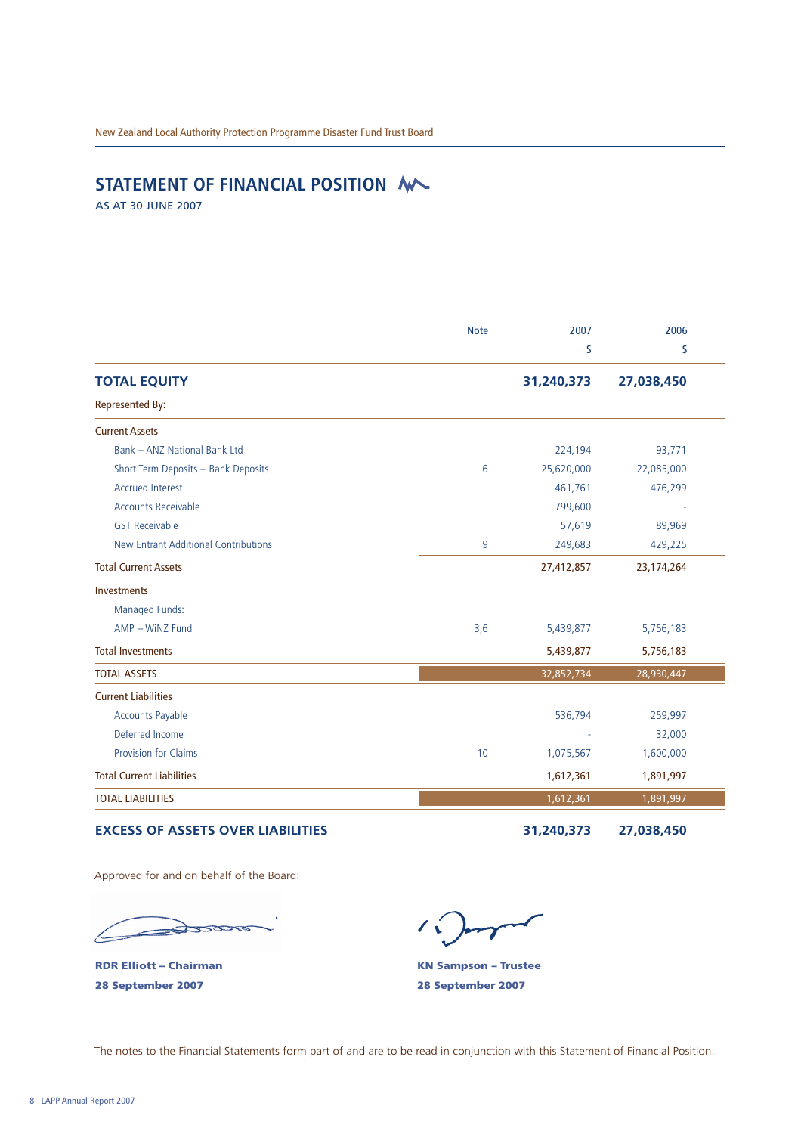# **STATEMENT OF FINANCIAL POSITION**

AS AT 30 JUNE 2007

|                                             | <b>Note</b> | 2007       | 2006       |
|---------------------------------------------|-------------|------------|------------|
|                                             |             | \$         | \$         |
| <b>TOTAL EQUITY</b>                         |             | 31,240,373 | 27,038,450 |
| <b>Represented By:</b>                      |             |            |            |
| <b>Current Assets</b>                       |             |            |            |
| Bank - ANZ National Bank Ltd                |             | 224,194    | 93,771     |
| Short Term Deposits - Bank Deposits         | 6           | 25,620,000 | 22,085,000 |
| <b>Accrued Interest</b>                     |             | 461,761    | 476,299    |
| <b>Accounts Receivable</b>                  |             | 799,600    |            |
| <b>GST Receivable</b>                       |             | 57,619     | 89,969     |
| <b>New Entrant Additional Contributions</b> | 9           | 249,683    | 429,225    |
| <b>Total Current Assets</b>                 |             | 27,412,857 | 23,174,264 |
| <b>Investments</b>                          |             |            |            |
| Managed Funds:                              |             |            |            |
| AMP - WiNZ Fund                             | 3,6         | 5,439,877  | 5,756,183  |
| <b>Total Investments</b>                    |             | 5,439,877  | 5,756,183  |
| <b>TOTAL ASSETS</b>                         |             | 32,852,734 | 28,930,447 |
| <b>Current Liabilities</b>                  |             |            |            |
| <b>Accounts Payable</b>                     |             | 536,794    | 259,997    |
| Deferred Income                             |             |            | 32,000     |
| Provision for Claims                        | 10          | 1,075,567  | 1,600,000  |
| <b>Total Current Liabilities</b>            |             | 1,612,361  | 1,891,997  |
| <b>TOTAL LIABILITIES</b>                    |             | 1,612,361  | 1,891,997  |

### **EXCESS OF ASSETS OVER LIABILITIES 31,240,373 27,038,450**

Approved for and on behalf of the Board:

 $\rightarrow$ 

**RDR Elliott – Chairman 28 September 2007**

 $\overline{\phantom{a}}$ ว

**KN Sampson – Trustee 28 September 2007**

The notes to the Financial Statements form part of and are to be read in conjunction with this Statement of Financial Position.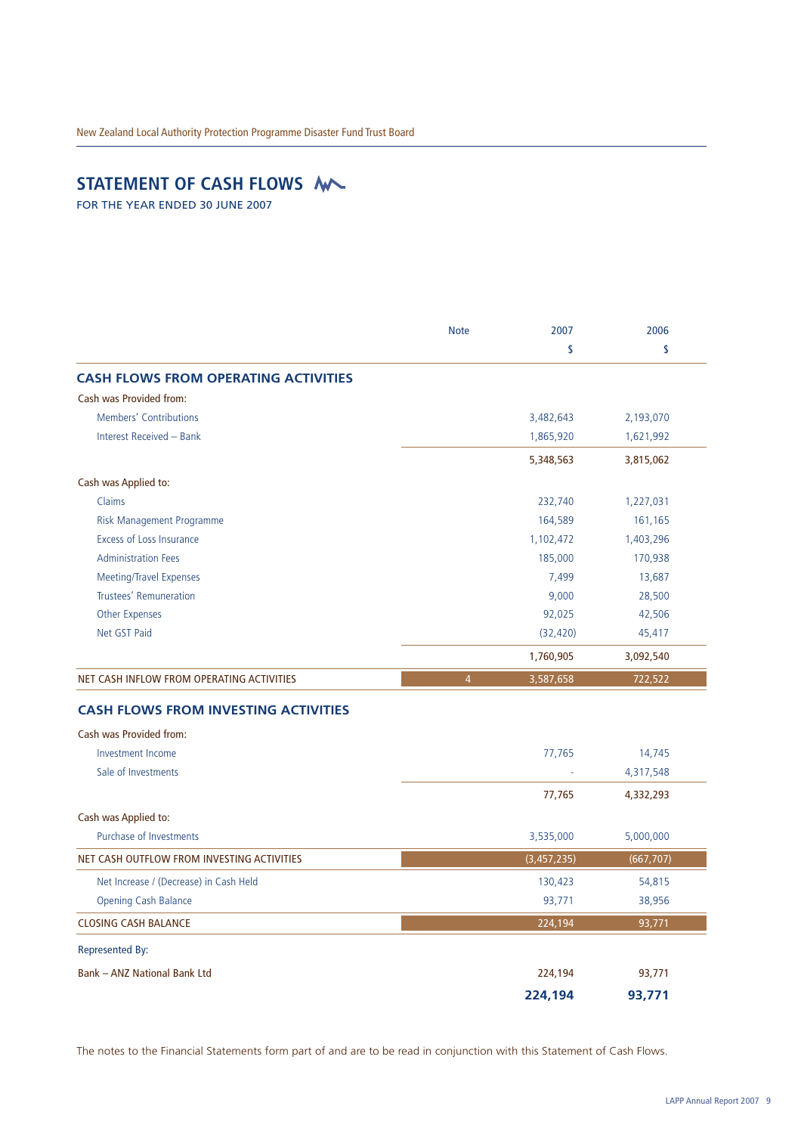# **STATEMENT OF CASH FLOWS**

FOR THE YEAR ENDED 30 JUNE 2007

|                                                                                                                                                                                           | <b>Note</b>    | 2007        | 2006       |
|-------------------------------------------------------------------------------------------------------------------------------------------------------------------------------------------|----------------|-------------|------------|
|                                                                                                                                                                                           |                | \$          | \$         |
| <b>CASH FLOWS FROM OPERATING ACTIVITIES</b>                                                                                                                                               |                |             |            |
| Cash was Provided from:                                                                                                                                                                   |                |             |            |
| Members' Contributions                                                                                                                                                                    |                | 3,482,643   | 2,193,070  |
| Interest Received - Bank                                                                                                                                                                  |                | 1,865,920   | 1,621,992  |
|                                                                                                                                                                                           |                | 5,348,563   | 3,815,062  |
| Cash was Applied to:                                                                                                                                                                      |                |             |            |
| Claims                                                                                                                                                                                    |                | 232,740     | 1,227,031  |
| Risk Management Programme                                                                                                                                                                 |                | 164,589     | 161,165    |
| <b>Excess of Loss Insurance</b>                                                                                                                                                           |                | 1,102,472   | 1,403,296  |
| <b>Administration Fees</b>                                                                                                                                                                |                | 185,000     | 170,938    |
| <b>Meeting/Travel Expenses</b>                                                                                                                                                            |                | 7,499       | 13,687     |
| Trustees' Remuneration                                                                                                                                                                    |                | 9,000       | 28,500     |
| <b>Other Expenses</b>                                                                                                                                                                     |                | 92,025      | 42,506     |
| Net GST Paid                                                                                                                                                                              |                | (32, 420)   | 45,417     |
|                                                                                                                                                                                           |                |             |            |
|                                                                                                                                                                                           |                | 1,760,905   | 3,092,540  |
|                                                                                                                                                                                           | $\overline{4}$ | 3,587,658   | 722,522    |
|                                                                                                                                                                                           |                |             |            |
|                                                                                                                                                                                           |                |             |            |
| Investment Income                                                                                                                                                                         |                | 77,765      | 14,745     |
| Sale of Investments                                                                                                                                                                       |                |             | 4,317,548  |
|                                                                                                                                                                                           |                |             |            |
|                                                                                                                                                                                           |                | 77,765      | 4,332,293  |
|                                                                                                                                                                                           |                |             |            |
| <b>Purchase of Investments</b>                                                                                                                                                            |                | 3,535,000   | 5,000,000  |
| NET CASH INFLOW FROM OPERATING ACTIVITIES<br><b>CASH FLOWS FROM INVESTING ACTIVITIES</b><br>Cash was Provided from:<br>Cash was Applied to:<br>NET CASH OUTFLOW FROM INVESTING ACTIVITIES |                | (3,457,235) | (667, 707) |
| Net Increase / (Decrease) in Cash Held                                                                                                                                                    |                | 130,423     | 54,815     |
| <b>Opening Cash Balance</b>                                                                                                                                                               |                | 93,771      | 38,956     |
|                                                                                                                                                                                           |                | 224,194     | 93,771     |
| <b>CLOSING CASH BALANCE</b><br><b>Represented By:</b>                                                                                                                                     |                |             |            |
| <b>Bank - ANZ National Bank Ltd</b>                                                                                                                                                       |                | 224,194     | 93,771     |

The notes to the Financial Statements form part of and are to be read in conjunction with this Statement of Cash Flows.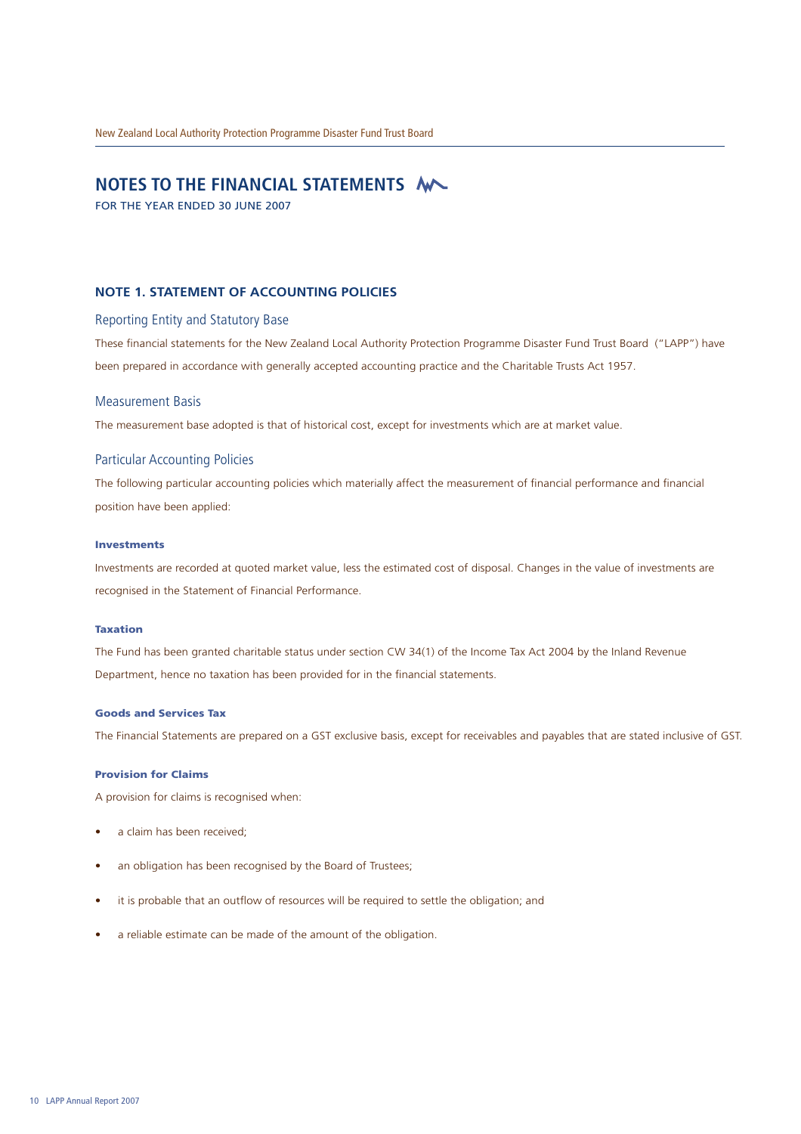# **NOTES TO THE FINANCIAL STATEMENTS**

FOR THE YEAR ENDED 30 JUNE 2007

### **NOTE 1. STATEMENT OF ACCOUNTING POLICIES**

## Reporting Entity and Statutory Base

These financial statements for the New Zealand Local Authority Protection Programme Disaster Fund Trust Board ("LAPP") have been prepared in accordance with generally accepted accounting practice and the Charitable Trusts Act 1957.

#### Measurement Basis

The measurement base adopted is that of historical cost, except for investments which are at market value.

#### Particular Accounting Policies

The following particular accounting policies which materially affect the measurement of financial performance and financial position have been applied:

#### **Investments**

Investments are recorded at quoted market value, less the estimated cost of disposal. Changes in the value of investments are recognised in the Statement of Financial Performance.

#### **Taxation**

The Fund has been granted charitable status under section CW 34(1) of the Income Tax Act 2004 by the Inland Revenue Department, hence no taxation has been provided for in the financial statements.

#### **Goods and Services Tax**

The Financial Statements are prepared on a GST exclusive basis, except for receivables and payables that are stated inclusive of GST.

#### **Provision for Claims**

A provision for claims is recognised when:

- a claim has been received;
- an obligation has been recognised by the Board of Trustees;
- it is probable that an outflow of resources will be required to settle the obligation; and
- a reliable estimate can be made of the amount of the obligation.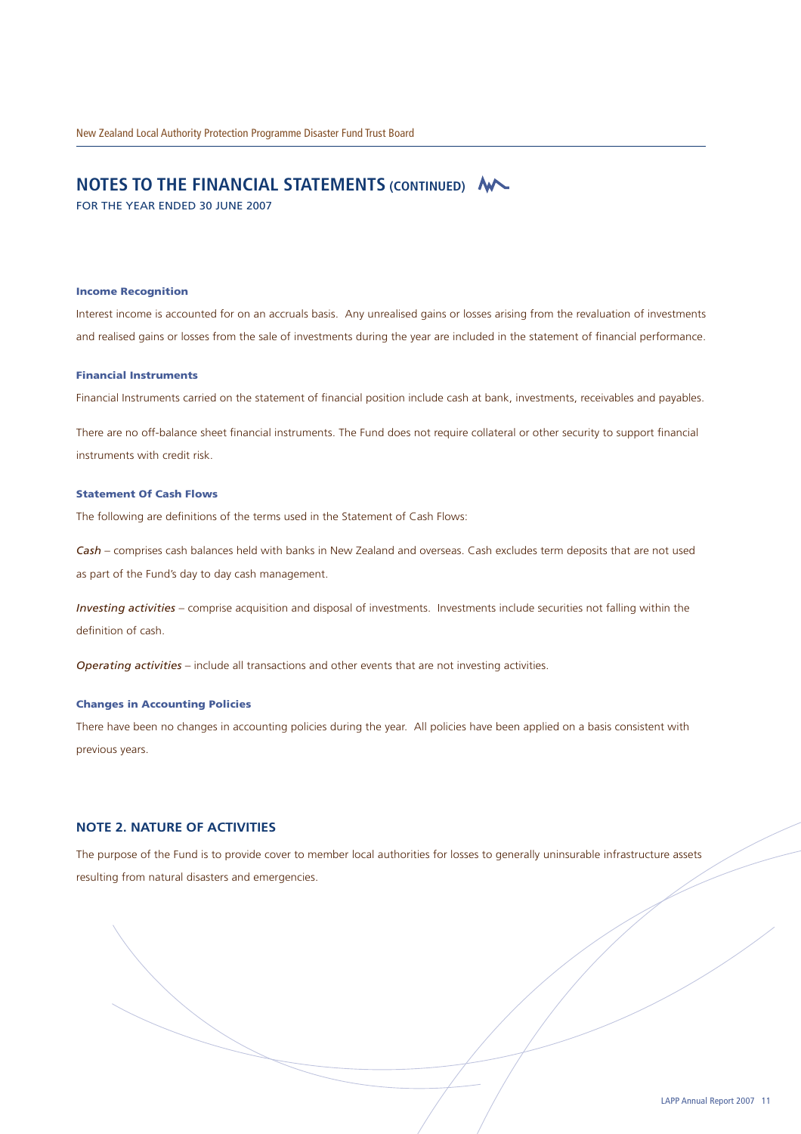# **NOTES TO THE FINANCIAL STATEMENTS (CONTINUED) M**

FOR THE YEAR ENDED 30 JUNE 2007

#### **Income Recognition**

Interest income is accounted for on an accruals basis. Any unrealised gains or losses arising from the revaluation of investments and realised gains or losses from the sale of investments during the year are included in the statement of financial performance.

#### **Financial Instruments**

Financial Instruments carried on the statement of financial position include cash at bank, investments, receivables and payables.

There are no off-balance sheet financial instruments. The Fund does not require collateral or other security to support financial instruments with credit risk.

### **Statement Of Cash Flows**

The following are definitions of the terms used in the Statement of Cash Flows:

*Cash* – comprises cash balances held with banks in New Zealand and overseas. Cash excludes term deposits that are not used as part of the Fund's day to day cash management.

*Investing activities* – comprise acquisition and disposal of investments. Investments include securities not falling within the definition of cash.

*Operating activities* – include all transactions and other events that are not investing activities.

#### **Changes in Accounting Policies**

There have been no changes in accounting policies during the year. All policies have been applied on a basis consistent with previous years.

#### **NOTE 2. NATURE OF ACTIVITIES**

The purpose of the Fund is to provide cover to member local authorities for losses to generally uninsurable infrastructure assets resulting from natural disasters and emergencies.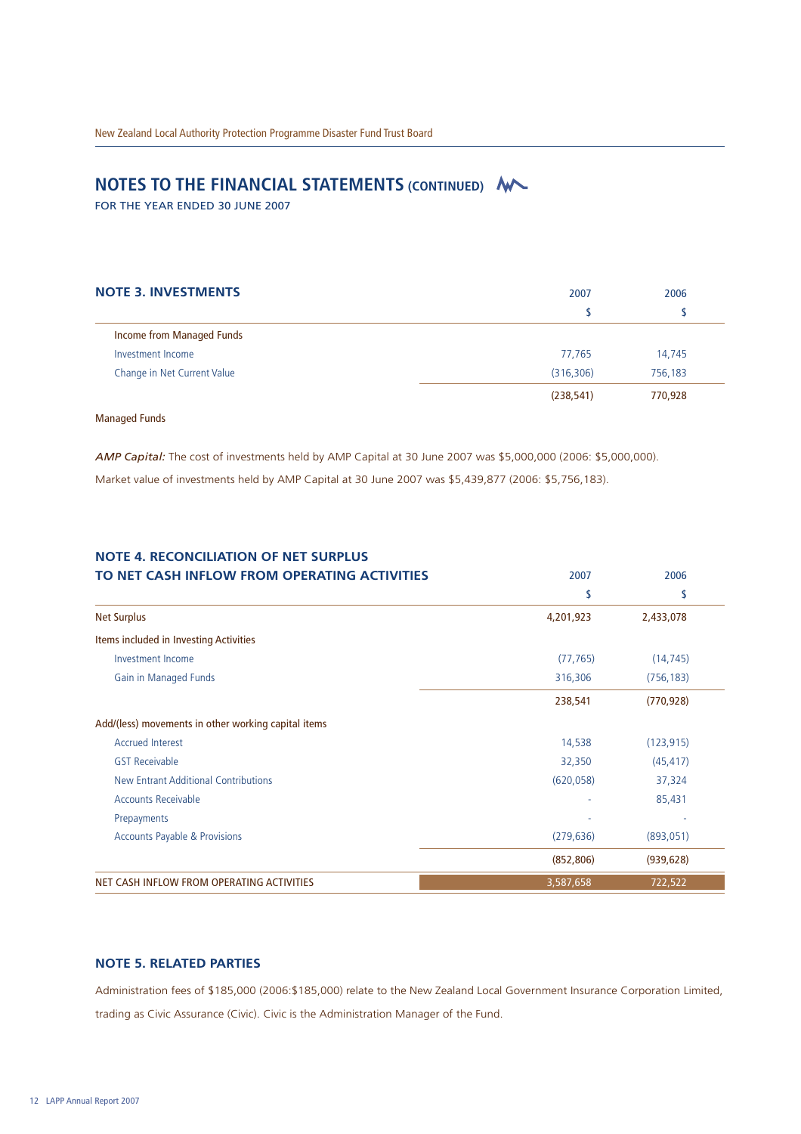# **NOTES TO THE FINANCIAL STATEMENTS (CONTINUED) M**

FOR THE YEAR ENDED 30 JUNE 2007

**NOTE 4. RECONCILIATION OF NET SURPLUS** 

| <b>NOTE 3. INVESTMENTS</b>  | 2007       | 2006    |
|-----------------------------|------------|---------|
|                             |            |         |
| Income from Managed Funds   |            |         |
| Investment Income           | 77.765     | 14,745  |
| Change in Net Current Value | (316, 306) | 756,183 |
|                             | (238, 541) | 770,928 |

Managed Funds

*AMP Capital:* The cost of investments held by AMP Capital at 30 June 2007 was \$5,000,000 (2006: \$5,000,000). Market value of investments held by AMP Capital at 30 June 2007 was \$5,439,877 (2006: \$5,756,183).

| TO NET CASH INFLOW FROM OPERATING ACTIVITIES        | 2007       | 2006       |
|-----------------------------------------------------|------------|------------|
|                                                     | \$         | \$         |
| <b>Net Surplus</b>                                  | 4,201,923  | 2,433,078  |
| Items included in Investing Activities              |            |            |
| Investment Income                                   | (77, 765)  | (14, 745)  |
| Gain in Managed Funds                               | 316,306    | (756, 183) |
|                                                     | 238,541    | (770, 928) |
| Add/(less) movements in other working capital items |            |            |
| <b>Accrued Interest</b>                             | 14,538     | (123, 915) |
| <b>GST Receivable</b>                               | 32,350     | (45, 417)  |
| New Entrant Additional Contributions                | (620, 058) | 37,324     |
| <b>Accounts Receivable</b>                          |            | 85,431     |
| Prepayments                                         |            |            |
| <b>Accounts Payable &amp; Provisions</b>            | (279, 636) | (893, 051) |
|                                                     | (852, 806) | (939, 628) |
| NET CASH INFLOW FROM OPERATING ACTIVITIES           | 3,587,658  | 722,522    |

# **NOTE 5. RELATED PARTIES**

Administration fees of \$185,000 (2006:\$185,000) relate to the New Zealand Local Government Insurance Corporation Limited, trading as Civic Assurance (Civic). Civic is the Administration Manager of the Fund.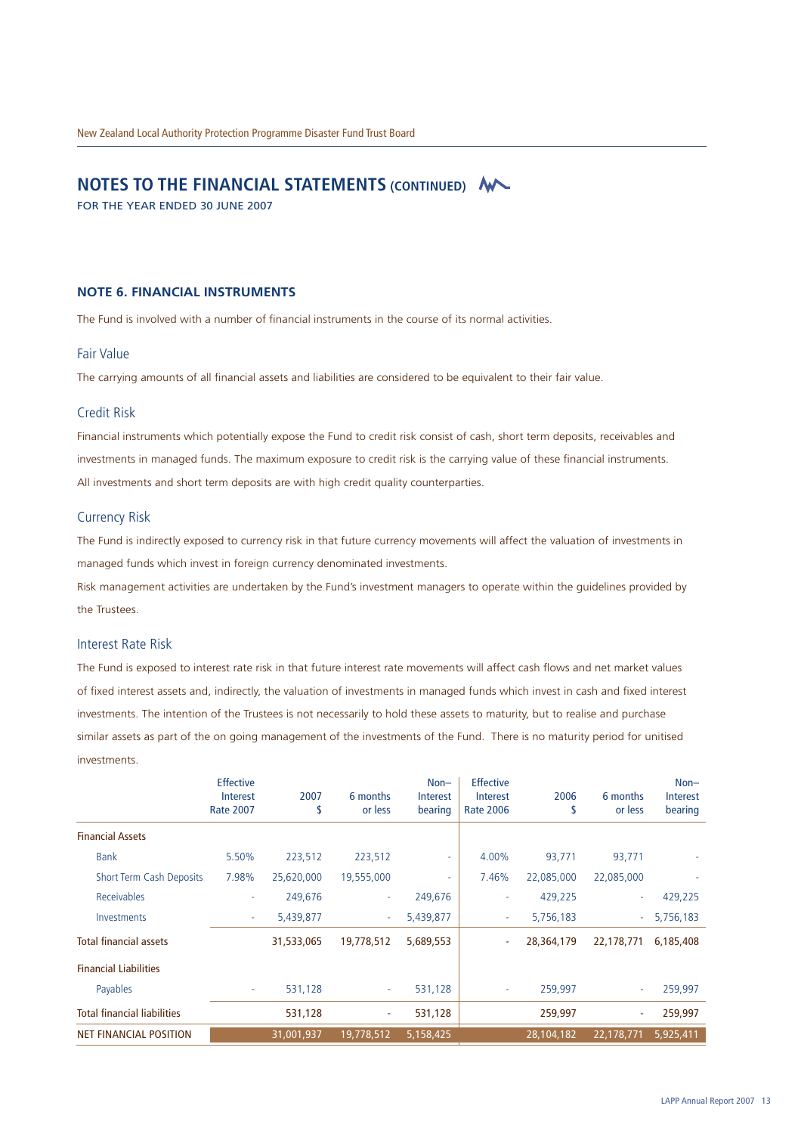# **NOTES TO THE FINANCIAL STATEMENTS (CONTINUED)**  $M$

FOR THE YEAR ENDED 30 JUNE 2007

# **NOTE 6. FINANCIAL INSTRUMENTS**

The Fund is involved with a number of financial instruments in the course of its normal activities.

# Fair Value

The carrying amounts of all financial assets and liabilities are considered to be equivalent to their fair value.

#### Credit Risk

Financial instruments which potentially expose the Fund to credit risk consist of cash, short term deposits, receivables and investments in managed funds. The maximum exposure to credit risk is the carrying value of these financial instruments. All investments and short term deposits are with high credit quality counterparties.

### Currency Risk

The Fund is indirectly exposed to currency risk in that future currency movements will affect the valuation of investments in managed funds which invest in foreign currency denominated investments.

Risk management activities are undertaken by the Fund's investment managers to operate within the guidelines provided by the Trustees.

# Interest Rate Risk

The Fund is exposed to interest rate risk in that future interest rate movements will affect cash flows and net market values of fixed interest assets and, indirectly, the valuation of investments in managed funds which invest in cash and fixed interest investments. The intention of the Trustees is not necessarily to hold these assets to maturity, but to realise and purchase similar assets as part of the on going management of the investments of the Fund. There is no maturity period for unitised investments.

|                                    | <b>Effective</b><br>Interest | 2007       | 6 months   | $Non-$<br>Interest | <b>Effective</b><br>Interest | 2006       | 6 months   | $Non-$<br><b>Interest</b> |
|------------------------------------|------------------------------|------------|------------|--------------------|------------------------------|------------|------------|---------------------------|
|                                    | <b>Rate 2007</b>             | S          | or less    | bearing            | <b>Rate 2006</b>             |            | or less    | bearing                   |
| <b>Financial Assets</b>            |                              |            |            |                    |                              |            |            |                           |
| <b>Bank</b>                        | 5.50%                        | 223,512    | 223,512    | ÷                  | 4.00%                        | 93,771     | 93,771     |                           |
| <b>Short Term Cash Deposits</b>    | 7.98%                        | 25,620,000 | 19,555,000 | ٠                  | 7.46%                        | 22,085,000 | 22,085,000 |                           |
| <b>Receivables</b>                 |                              | 249,676    |            | 249,676            |                              | 429,225    | ٠          | 429,225                   |
| Investments                        | ۰                            | 5,439,877  | ٠          | 5,439,877          | ٠                            | 5,756,183  | ÷.         | 5,756,183                 |
| <b>Total financial assets</b>      |                              | 31,533,065 | 19,778,512 | 5,689,553          | ٠                            | 28,364,179 | 22,178,771 | 6,185,408                 |
| <b>Financial Liabilities</b>       |                              |            |            |                    |                              |            |            |                           |
| Payables                           |                              | 531,128    | ٠          | 531,128            |                              | 259,997    |            | 259,997                   |
| <b>Total financial liabilities</b> |                              | 531,128    | ٠          | 531,128            |                              | 259,997    | ٠          | 259,997                   |
| <b>NET FINANCIAL POSITION</b>      |                              | 31,001,937 | 19,778,512 | 5,158,425          |                              | 28,104,182 | 22,178,771 | 5,925,411                 |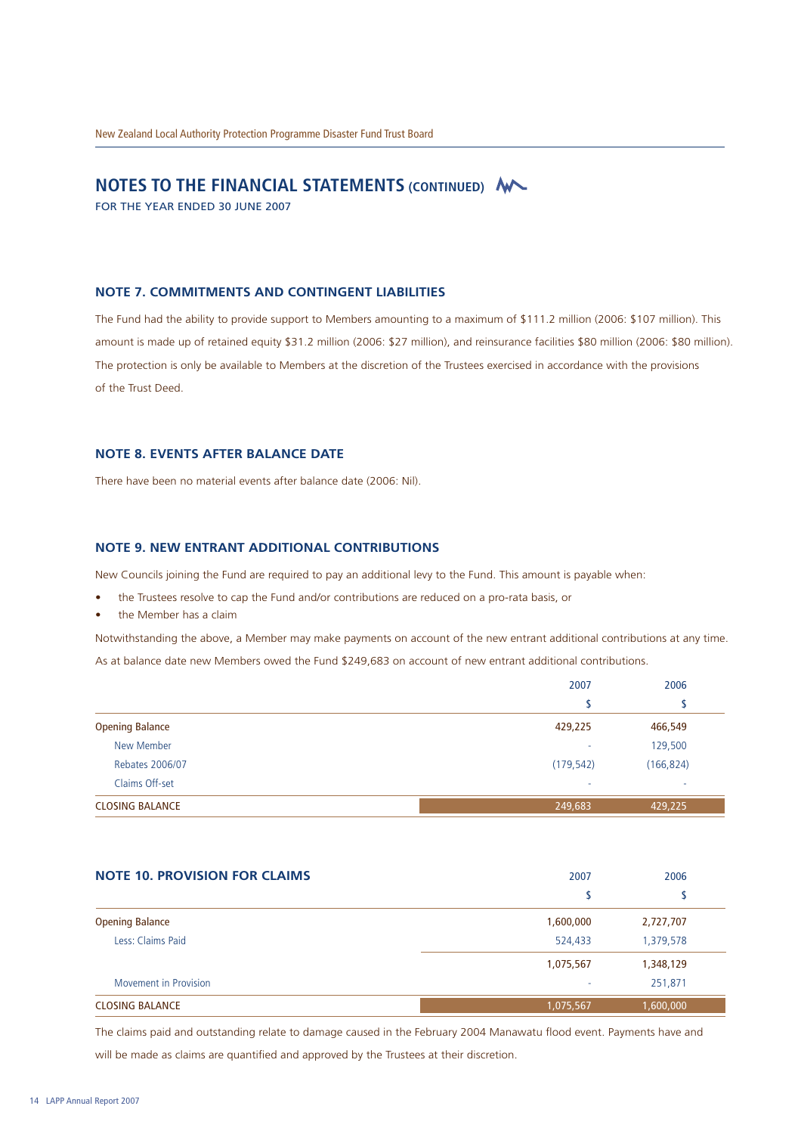# **NOTES TO THE FINANCIAL STATEMENTS (CONTINUED) W**

FOR THE YEAR ENDED 30 JUNE 2007

# **NOTE 7. COMMITMENTS AND CONTINGENT LIABILITIES**

The Fund had the ability to provide support to Members amounting to a maximum of \$111.2 million (2006: \$107 million). This amount is made up of retained equity \$31.2 million (2006: \$27 million), and reinsurance facilities \$80 million (2006: \$80 million). The protection is only be available to Members at the discretion of the Trustees exercised in accordance with the provisions of the Trust Deed.

## **NOTE 8. EVENTS AFTER BALANCE DATE**

There have been no material events after balance date (2006: Nil).

#### **NOTE 9. NEW ENTRANT ADDITIONAL CONTRIBUTIONS**

New Councils joining the Fund are required to pay an additional levy to the Fund. This amount is payable when:

- the Trustees resolve to cap the Fund and/or contributions are reduced on a pro-rata basis, or
- the Member has a claim

Notwithstanding the above, a Member may make payments on account of the new entrant additional contributions at any time. As at balance date new Members owed the Fund \$249,683 on account of new entrant additional contributions.

|                        | 2007       | 2006       |
|------------------------|------------|------------|
|                        |            |            |
| <b>Opening Balance</b> | 429,225    | 466,549    |
| New Member             |            | 129,500    |
| Rebates 2006/07        | (179, 542) | (166, 824) |
| Claims Off-set         |            |            |
| <b>CLOSING BALANCE</b> | 249,683    | 429,225    |

| <b>NOTE 10. PROVISION FOR CLAIMS</b> | 2007      | 2006      |
|--------------------------------------|-----------|-----------|
|                                      |           |           |
| <b>Opening Balance</b>               | 1,600,000 | 2,727,707 |
| Less: Claims Paid                    | 524,433   | 1,379,578 |
|                                      | 1,075,567 | 1,348,129 |
| Movement in Provision                |           | 251,871   |
| <b>CLOSING BALANCE</b>               | 1,075,567 | 1,600,000 |

The claims paid and outstanding relate to damage caused in the February 2004 Manawatu flood event. Payments have and will be made as claims are quantified and approved by the Trustees at their discretion.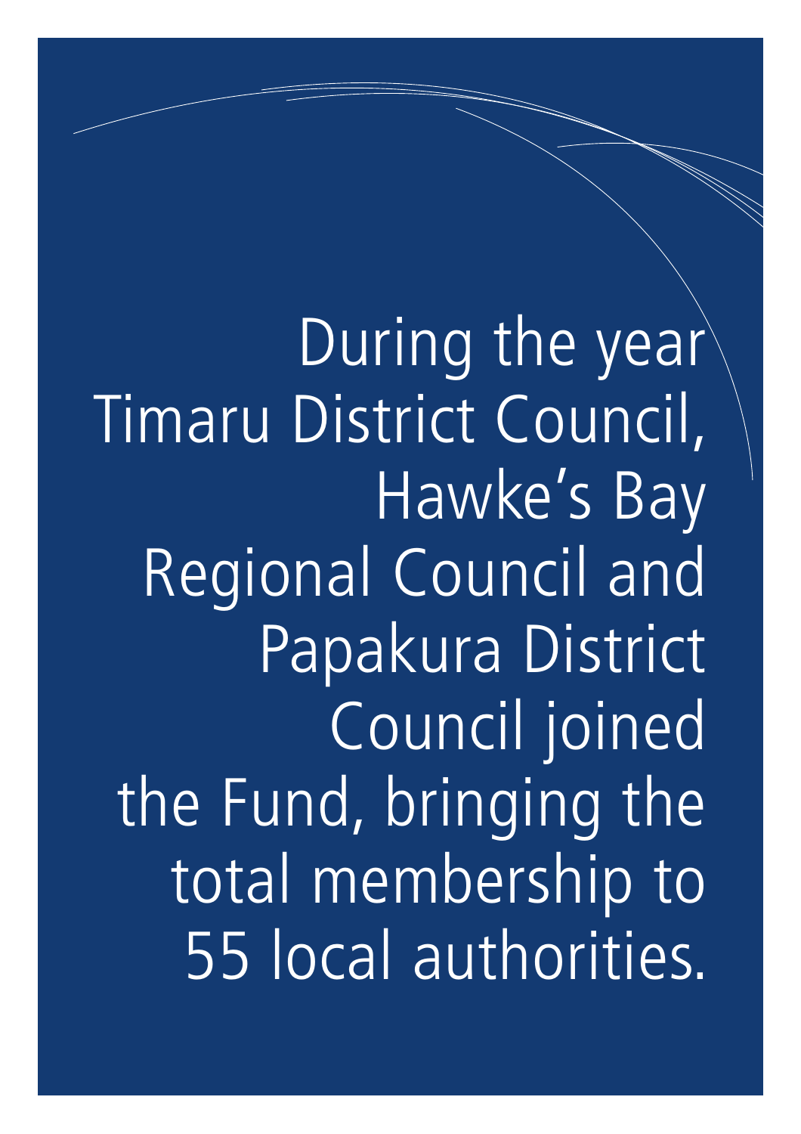During the year Timaru District Council, Hawke's Bay Regional Council and Papakura District Council joined the Fund, bringing the total membership to 55 local authorities.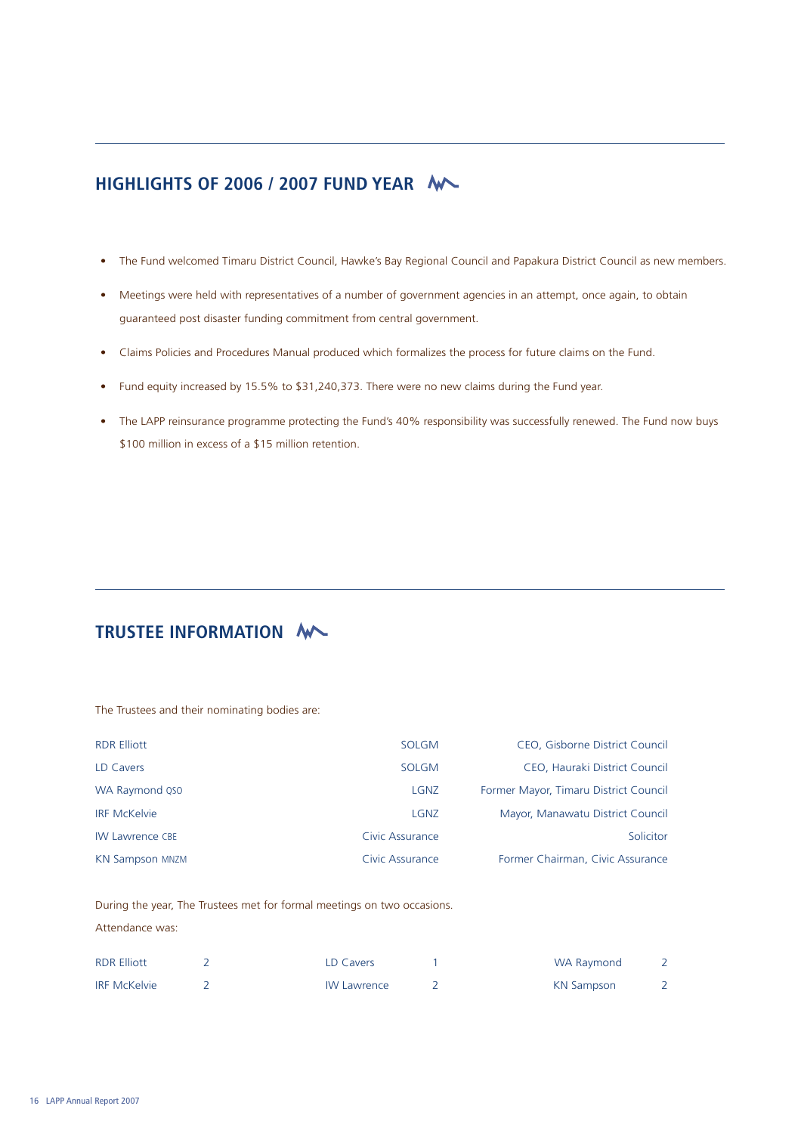# **HIGHLIGHTS OF 2006 / 2007 FUND YEAR**

- The Fund welcomed Timaru District Council, Hawke's Bay Regional Council and Papakura District Council as new members.
- Meetings were held with representatives of a number of government agencies in an attempt, once again, to obtain guaranteed post disaster funding commitment from central government.
- Claims Policies and Procedures Manual produced which formalizes the process for future claims on the Fund.
- Fund equity increased by 15.5% to \$31,240,373. There were no new claims during the Fund year.
- The LAPP reinsurance programme protecting the Fund's 40% responsibility was successfully renewed. The Fund now buys \$100 million in excess of a \$15 million retention.

# **TRUSTEE INFORMATION**

The Trustees and their nominating bodies are:

| <b>RDR Elliott</b>     | <b>SOLGM</b>    | CEO, Gisborne District Council        |
|------------------------|-----------------|---------------------------------------|
| LD Cavers              | <b>SOLGM</b>    | CEO, Hauraki District Council         |
| WA Raymond QSO         | <b>LGNZ</b>     | Former Mayor, Timaru District Council |
| <b>IRF McKelvie</b>    | <b>LGNZ</b>     | Mayor, Manawatu District Council      |
| <b>IW Lawrence CBE</b> | Civic Assurance | Solicitor                             |
| <b>KN Sampson MNZM</b> | Civic Assurance | Former Chairman, Civic Assurance      |

During the year, The Trustees met for formal meetings on two occasions.

Attendance was:

| <b>RDR Elliott</b>  | LD Cavers          | WA Raymond |  |
|---------------------|--------------------|------------|--|
| <b>IRF McKelvie</b> | <b>IW Lawrence</b> | KN Sampson |  |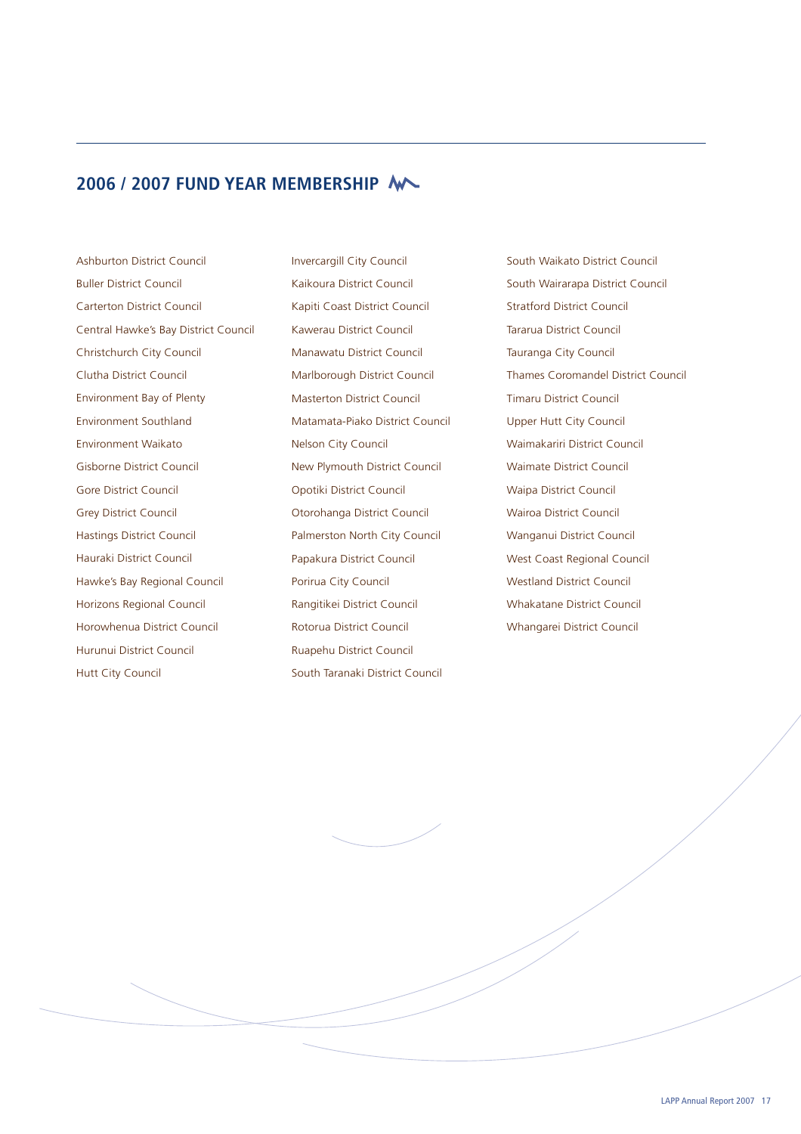# **2006 / 2007 FUND YEAR MEMBERSHIP**

Ashburton District Council Buller District Council Carterton District Council Central Hawke's Bay District Council Christchurch City Council Clutha District Council Environment Bay of Plenty Environment Southland Environment Waikato Gisborne District Council Gore District Council Grey District Council Hastings District Council Hauraki District Council Hawke's Bay Regional Council Horizons Regional Council Horowhenua District Council Hurunui District Council Hutt City Council

Invercargill City Council Kaikoura District Council Kapiti Coast District Council Kawerau District Council Manawatu District Council Marlborough District Council Masterton District Council Matamata-Piako District Council Nelson City Council New Plymouth District Council Opotiki District Council Otorohanga District Council Palmerston North City Council Papakura District Council Porirua City Council Rangitikei District Council Rotorua District Council Ruapehu District Council South Taranaki District Council

South Waikato District Council South Wairarapa District Council Stratford District Council Tararua District Council Tauranga City Council Thames Coromandel District Council Timaru District Council Upper Hutt City Council Waimakariri District Council Waimate District Council Waipa District Council Wairoa District Council Wanganui District Council West Coast Regional Council Westland District Council Whakatane District Council Whangarei District Council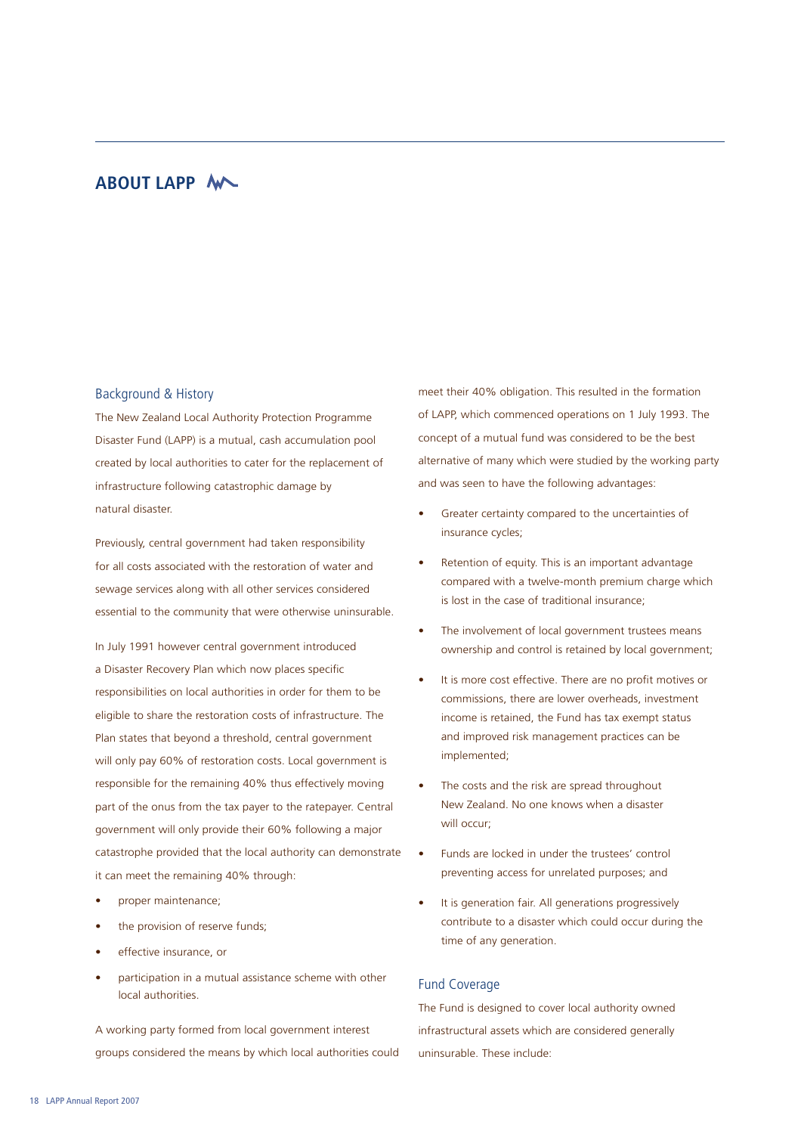# **ABOUT LAPP**

# Background & History

The New Zealand Local Authority Protection Programme Disaster Fund (LAPP) is a mutual, cash accumulation pool created by local authorities to cater for the replacement of infrastructure following catastrophic damage by natural disaster.

Previously, central government had taken responsibility for all costs associated with the restoration of water and sewage services along with all other services considered essential to the community that were otherwise uninsurable.

In July 1991 however central government introduced a Disaster Recovery Plan which now places specific responsibilities on local authorities in order for them to be eligible to share the restoration costs of infrastructure. The Plan states that beyond a threshold, central government will only pay 60% of restoration costs. Local government is responsible for the remaining 40% thus effectively moving part of the onus from the tax payer to the ratepayer. Central government will only provide their 60% following a major catastrophe provided that the local authority can demonstrate it can meet the remaining 40% through:

- proper maintenance;
- the provision of reserve funds;
- effective insurance, or
- participation in a mutual assistance scheme with other local authorities.

A working party formed from local government interest groups considered the means by which local authorities could

meet their 40% obligation. This resulted in the formation of LAPP, which commenced operations on 1 July 1993. The concept of a mutual fund was considered to be the best alternative of many which were studied by the working party and was seen to have the following advantages:

- Greater certainty compared to the uncertainties of insurance cycles;
- Retention of equity. This is an important advantage compared with a twelve-month premium charge which is lost in the case of traditional insurance;
- The involvement of local government trustees means ownership and control is retained by local government;
- It is more cost effective. There are no profit motives or commissions, there are lower overheads, investment income is retained, the Fund has tax exempt status and improved risk management practices can be implemented;
- The costs and the risk are spread throughout New Zealand. No one knows when a disaster will occur;
- Funds are locked in under the trustees' control preventing access for unrelated purposes; and
- It is generation fair. All generations progressively contribute to a disaster which could occur during the time of any generation.

### Fund Coverage

The Fund is designed to cover local authority owned infrastructural assets which are considered generally uninsurable. These include: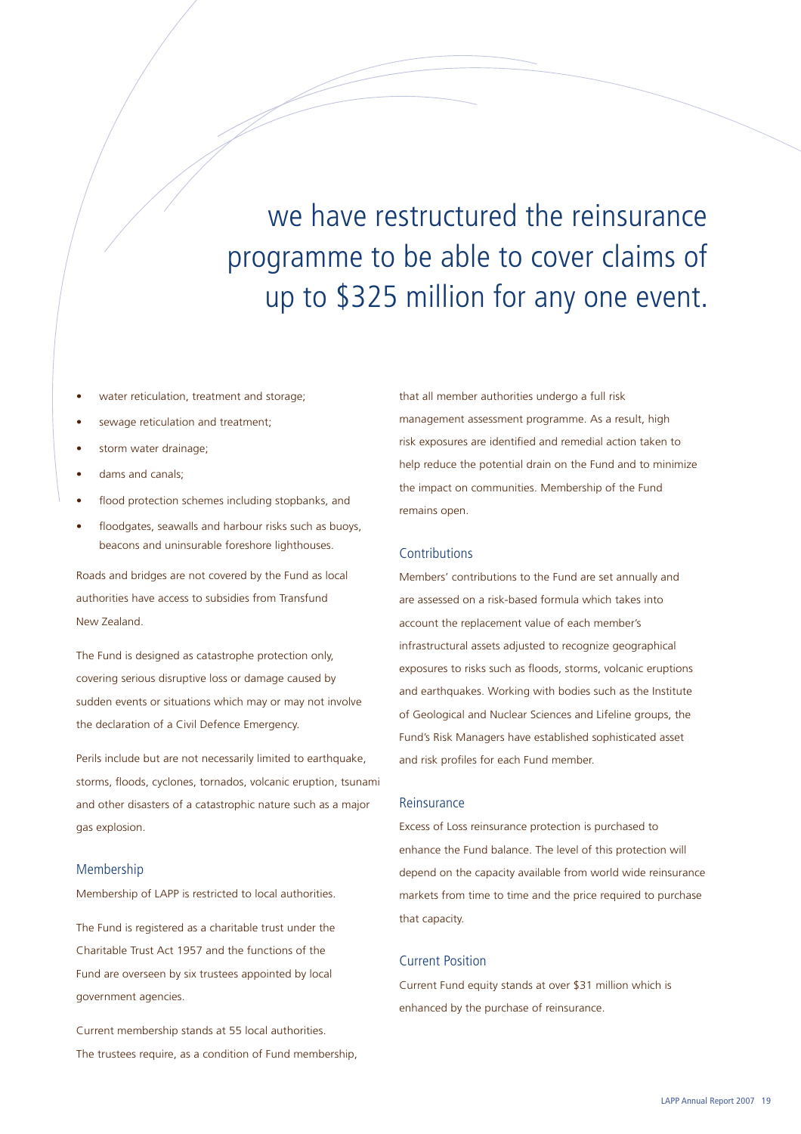we have restructured the reinsurance programme to be able to cover claims of up to \$325 million for any one event.

- water reticulation, treatment and storage;
- sewage reticulation and treatment;
- storm water drainage;
- dams and canals;
- flood protection schemes including stopbanks, and
- floodgates, seawalls and harbour risks such as buoys, beacons and uninsurable foreshore lighthouses.

Roads and bridges are not covered by the Fund as local authorities have access to subsidies from Transfund New Zealand.

The Fund is designed as catastrophe protection only, covering serious disruptive loss or damage caused by sudden events or situations which may or may not involve the declaration of a Civil Defence Emergency.

Perils include but are not necessarily limited to earthquake, storms, floods, cyclones, tornados, volcanic eruption, tsunami and other disasters of a catastrophic nature such as a major gas explosion.

### Membership

Membership of LAPP is restricted to local authorities.

The Fund is registered as a charitable trust under the Charitable Trust Act 1957 and the functions of the Fund are overseen by six trustees appointed by local government agencies.

Current membership stands at 55 local authorities. The trustees require, as a condition of Fund membership, that all member authorities undergo a full risk management assessment programme. As a result, high risk exposures are identified and remedial action taken to help reduce the potential drain on the Fund and to minimize the impact on communities. Membership of the Fund remains open.

# Contributions

Members' contributions to the Fund are set annually and are assessed on a risk-based formula which takes into account the replacement value of each member's infrastructural assets adjusted to recognize geographical exposures to risks such as floods, storms, volcanic eruptions and earthquakes. Working with bodies such as the Institute of Geological and Nuclear Sciences and Lifeline groups, the Fund's Risk Managers have established sophisticated asset and risk profiles for each Fund member.

### Reinsurance

Excess of Loss reinsurance protection is purchased to enhance the Fund balance. The level of this protection will depend on the capacity available from world wide reinsurance markets from time to time and the price required to purchase that capacity.

# Current Position

Current Fund equity stands at over \$31 million which is enhanced by the purchase of reinsurance.